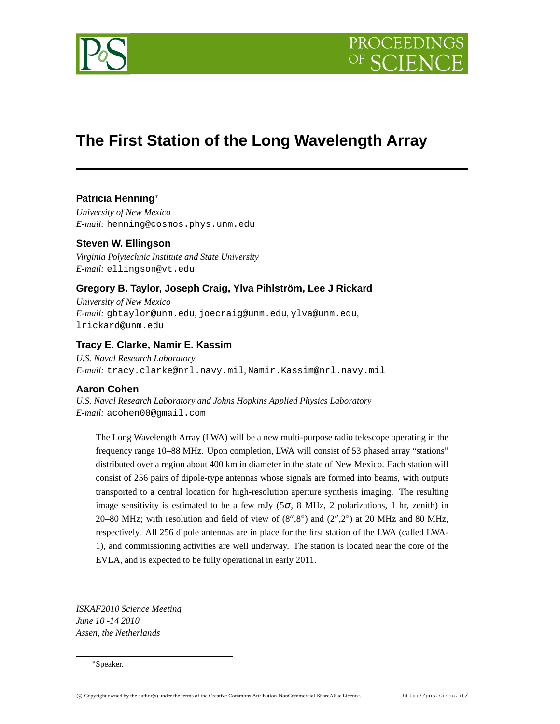

# **The First Station of the Long Wavelength Array**

# **Patricia Henning**∗

*University of New Mexico E-mail:* henning@cosmos.phys.unm.edu

**Steven W. Ellingson** *Virginia Polytechnic Institute and State University*

*E-mail:* ellingson@vt.edu

# **Gregory B. Taylor, Joseph Craig, Ylva Pihlström, Lee J Rickard**

*University of New Mexico E-mail:* gbtaylor@unm.edu*,* joecraig@unm.edu*,* ylva@unm.edu*,* lrickard@unm.edu

# **Tracy E. Clarke, Namir E. Kassim**

*U.S. Naval Research Laboratory E-mail:* tracy.clarke@nrl.navy.mil*,* Namir.Kassim@nrl.navy.mil

# **Aaron Cohen**

*U.S. Naval Research Laboratory and Johns Hopkins Applied Physics Laboratory E-mail:* acohen00@gmail.com

The Long Wavelength Array (LWA) will be a new multi-purpose radio telescope operating in the frequency range 10–88 MHz. Upon completion, LWA will consist of 53 phased array "stations" distributed over a region about 400 km in diameter in the state of New Mexico. Each station will consist of 256 pairs of dipole-type antennas whose signals are formed into beams, with outputs transported to a central location for high-resolution aperture synthesis imaging. The resulting image sensitivity is estimated to be a few mJy ( $5\sigma$ , 8 MHz, 2 polarizations, 1 hr, zenith) in 20–80 MHz; with resolution and field of view of  $(8'',8°)$  and  $(2'',2°)$  at 20 MHz and 80 MHz, respectively. All 256 dipole antennas are in place for the first station of the LWA (called LWA-1), and commissioning activities are well underway. The station is located near the core of the EVLA, and is expected to be fully operational in early 2011.

*ISKAF2010 Science Meeting June 10 -14 2010 Assen, the Netherlands*

∗Speaker.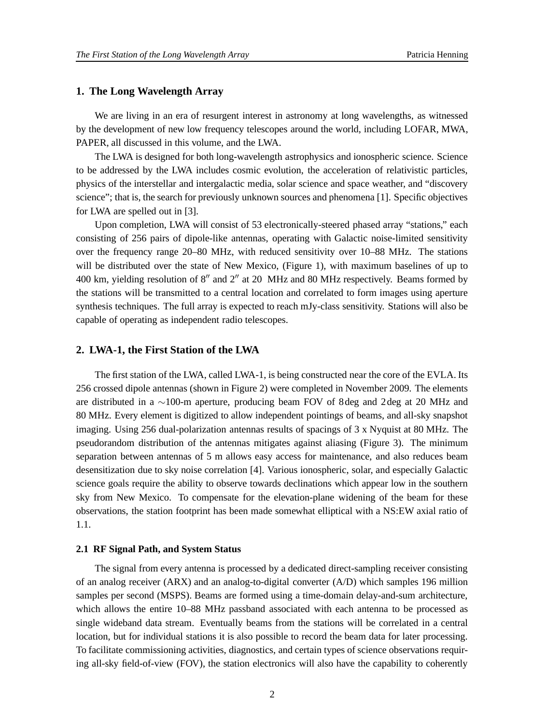#### **1. The Long Wavelength Array**

We are living in an era of resurgent interest in astronomy at long wavelengths, as witnessed by the development of new low frequency telescopes around the world, including LOFAR, MWA, PAPER, all discussed in this volume, and the LWA.

The LWA is designed for both long-wavelength astrophysics and ionospheric science. Science to be addressed by the LWA includes cosmic evolution, the acceleration of relativistic particles, physics of the interstellar and intergalactic media, solar science and space weather, and "discovery science"; that is, the search for previously unknown sources and phenomena [1]. Specific objectives for LWA are spelled out in [3].

Upon completion, LWA will consist of 53 electronically-steered phased array "stations," each consisting of 256 pairs of dipole-like antennas, operating with Galactic noise-limited sensitivity over the frequency range 20–80 MHz, with reduced sensitivity over 10–88 MHz. The stations will be distributed over the state of New Mexico, (Figure 1), with maximum baselines of up to 400 km, yielding resolution of 8<sup>"</sup> and 2<sup>"</sup> at 20 MHz and 80 MHz respectively. Beams formed by the stations will be transmitted to a central location and correlated to form images using aperture synthesis techniques. The full array is expected to reach mJy-class sensitivity. Stations will also be capable of operating as independent radio telescopes.

#### **2. LWA-1, the First Station of the LWA**

The first station of the LWA, called LWA-1, is being constructed near the core of the EVLA. Its 256 crossed dipole antennas (shown in Figure 2) were completed in November 2009. The elements are distributed in a ∼100-m aperture, producing beam FOV of 8deg and 2deg at 20 MHz and 80 MHz. Every element is digitized to allow independent pointings of beams, and all-sky snapshot imaging. Using 256 dual-polarization antennas results of spacings of 3 x Nyquist at 80 MHz. The pseudorandom distribution of the antennas mitigates against aliasing (Figure 3). The minimum separation between antennas of 5 m allows easy access for maintenance, and also reduces beam desensitization due to sky noise correlation [4]. Various ionospheric, solar, and especially Galactic science goals require the ability to observe towards declinations which appear low in the southern sky from New Mexico. To compensate for the elevation-plane widening of the beam for these observations, the station footprint has been made somewhat elliptical with a NS:EW axial ratio of 1.1.

#### **2.1 RF Signal Path, and System Status**

The signal from every antenna is processed by a dedicated direct-sampling receiver consisting of an analog receiver (ARX) and an analog-to-digital converter (A/D) which samples 196 million samples per second (MSPS). Beams are formed using a time-domain delay-and-sum architecture, which allows the entire 10–88 MHz passband associated with each antenna to be processed as single wideband data stream. Eventually beams from the stations will be correlated in a central location, but for individual stations it is also possible to record the beam data for later processing. To facilitate commissioning activities, diagnostics, and certain types of science observations requiring all-sky field-of-view (FOV), the station electronics will also have the capability to coherently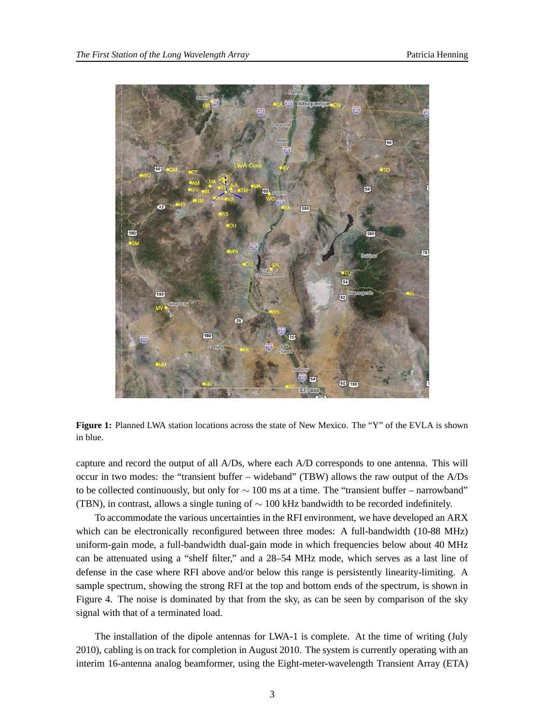

**Figure 1:** Planned LWA station locations across the state of New Mexico. The "Y" of the EVLA is shown in blue.

capture and record the output of all A/Ds, where each A/D corresponds to one antenna. This will occur in two modes: the "transient buffer – wideband" (TBW) allows the raw output of the A/Ds to be collected continuously, but only for  $\sim 100$  ms at a time. The "transient buffer – narrowband" (TBN), in contrast, allows a single tuning of  $\sim$  100 kHz bandwidth to be recorded indefinitely.

To accommodate the various uncertainties in the RFI environment, we have developed an ARX which can be electronically reconfigured between three modes: A full-bandwidth (10-88 MHz) uniform-gain mode, a full-bandwidth dual-gain mode in which frequencies below about 40 MHz can be attenuated using a "shelf filter," and a 28–54 MHz mode, which serves as a last line of defense in the case where RFI above and/or below this range is persistently linearity-limiting. A sample spectrum, showing the strong RFI at the top and bottom ends of the spectrum, is shown in Figure 4. The noise is dominated by that from the sky, as can be seen by comparison of the sky signal with that of a terminated load.

The installation of the dipole antennas for LWA-1 is complete. At the time of writing (July 2010), cabling is on track for completion in August 2010. The system is currently operating with an interim 16-antenna analog beamformer, using the Eight-meter-wavelength Transient Array (ETA)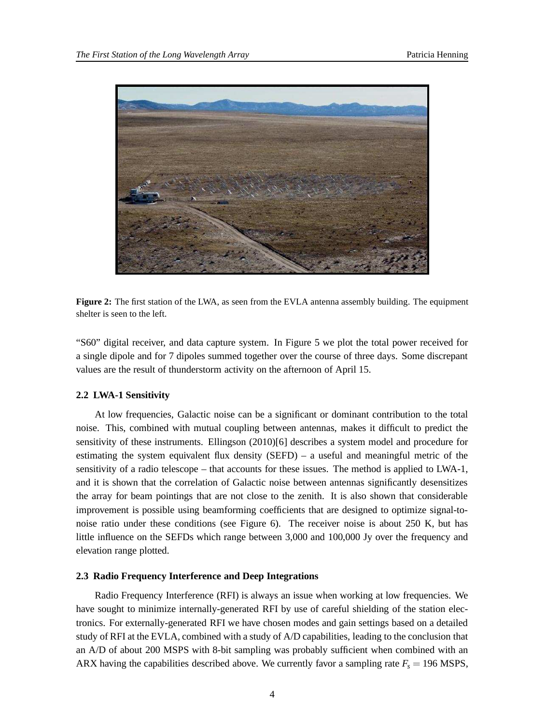

**Figure 2:** The first station of the LWA, as seen from the EVLA antenna assembly building. The equipment shelter is seen to the left.

"S60" digital receiver, and data capture system. In Figure 5 we plot the total power received for a single dipole and for 7 dipoles summed together over the course of three days. Some discrepant values are the result of thunderstorm activity on the afternoon of April 15.

## **2.2 LWA-1 Sensitivity**

At low frequencies, Galactic noise can be a significant or dominant contribution to the total noise. This, combined with mutual coupling between antennas, makes it difficult to predict the sensitivity of these instruments. Ellingson (2010)[6] describes a system model and procedure for estimating the system equivalent flux density (SEFD) – a useful and meaningful metric of the sensitivity of a radio telescope – that accounts for these issues. The method is applied to LWA-1, and it is shown that the correlation of Galactic noise between antennas significantly desensitizes the array for beam pointings that are not close to the zenith. It is also shown that considerable improvement is possible using beamforming coefficients that are designed to optimize signal-tonoise ratio under these conditions (see Figure 6). The receiver noise is about 250 K, but has little influence on the SEFDs which range between 3,000 and 100,000 Jy over the frequency and elevation range plotted.

#### **2.3 Radio Frequency Interference and Deep Integrations**

Radio Frequency Interference (RFI) is always an issue when working at low frequencies. We have sought to minimize internally-generated RFI by use of careful shielding of the station electronics. For externally-generated RFI we have chosen modes and gain settings based on a detailed study of RFI at the EVLA, combined with a study of A/D capabilities, leading to the conclusion that an A/D of about 200 MSPS with 8-bit sampling was probably sufficient when combined with an ARX having the capabilities described above. We currently favor a sampling rate  $F_s = 196$  MSPS,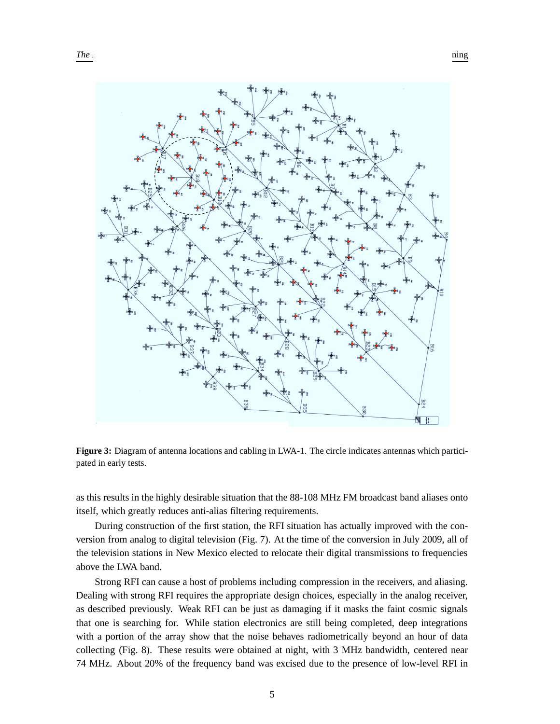

**Figure 3:** Diagram of antenna locations and cabling in LWA-1. The circle indicates antennas which participated in early tests.

as this results in the highly desirable situation that the 88-108 MHz FM broadcast band aliases onto itself, which greatly reduces anti-alias filtering requirements.

During construction of the first station, the RFI situation has actually improved with the conversion from analog to digital television (Fig. 7). At the time of the conversion in July 2009, all of the television stations in New Mexico elected to relocate their digital transmissions to frequencies above the LWA band.

Strong RFI can cause a host of problems including compression in the receivers, and aliasing. Dealing with strong RFI requires the appropriate design choices, especially in the analog receiver, as described previously. Weak RFI can be just as damaging if it masks the faint cosmic signals that one is searching for. While station electronics are still being completed, deep integrations with a portion of the array show that the noise behaves radiometrically beyond an hour of data collecting (Fig. 8). These results were obtained at night, with 3 MHz bandwidth, centered near 74 MHz. About 20% of the frequency band was excised due to the presence of low-level RFI in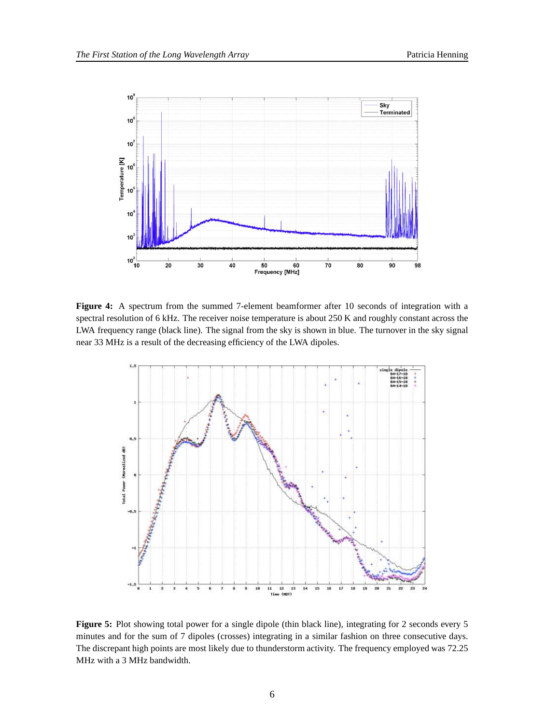

**Figure 4:** A spectrum from the summed 7-element beamformer after 10 seconds of integration with a spectral resolution of 6 kHz. The receiver noise temperature is about 250 K and roughly constant across the LWA frequency range (black line). The signal from the sky is shown in blue. The turnover in the sky signal near 33 MHz is a result of the decreasing efficiency of the LWA dipoles.



**Figure 5:** Plot showing total power for a single dipole (thin black line), integrating for 2 seconds every 5 minutes and for the sum of 7 dipoles (crosses) integrating in a similar fashion on three consecutive days. The discrepant high points are most likely due to thunderstorm activity. The frequency employed was 72.25 MHz with a 3 MHz bandwidth.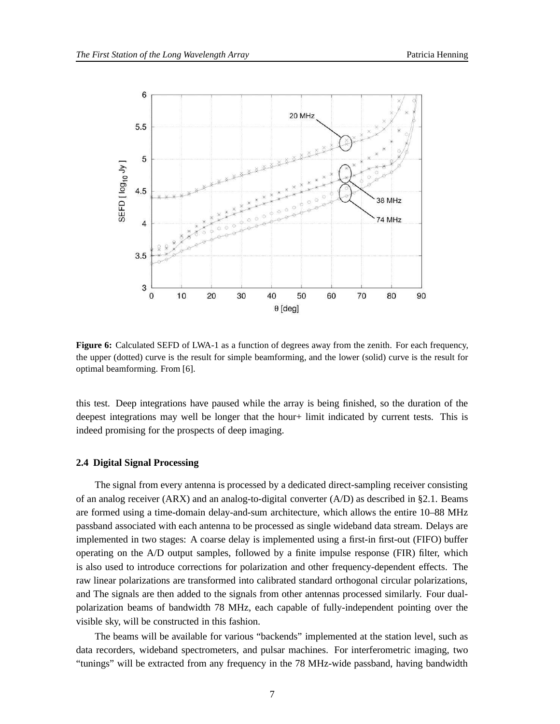

**Figure 6:** Calculated SEFD of LWA-1 as a function of degrees away from the zenith. For each frequency, the upper (dotted) curve is the result for simple beamforming, and the lower (solid) curve is the result for optimal beamforming. From [6].

this test. Deep integrations have paused while the array is being finished, so the duration of the deepest integrations may well be longer that the hour+ limit indicated by current tests. This is indeed promising for the prospects of deep imaging.

#### **2.4 Digital Signal Processing**

The signal from every antenna is processed by a dedicated direct-sampling receiver consisting of an analog receiver (ARX) and an analog-to-digital converter (A/D) as described in §2.1. Beams are formed using a time-domain delay-and-sum architecture, which allows the entire 10–88 MHz passband associated with each antenna to be processed as single wideband data stream. Delays are implemented in two stages: A coarse delay is implemented using a first-in first-out (FIFO) buffer operating on the A/D output samples, followed by a finite impulse response (FIR) filter, which is also used to introduce corrections for polarization and other frequency-dependent effects. The raw linear polarizations are transformed into calibrated standard orthogonal circular polarizations, and The signals are then added to the signals from other antennas processed similarly. Four dualpolarization beams of bandwidth 78 MHz, each capable of fully-independent pointing over the visible sky, will be constructed in this fashion.

The beams will be available for various "backends" implemented at the station level, such as data recorders, wideband spectrometers, and pulsar machines. For interferometric imaging, two "tunings" will be extracted from any frequency in the 78 MHz-wide passband, having bandwidth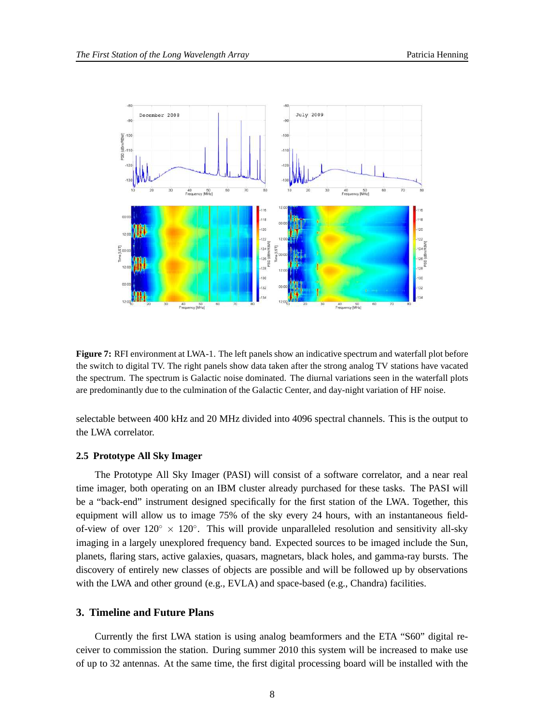

**Figure 7:** RFI environment at LWA-1. The left panels show an indicative spectrum and waterfall plot before the switch to digital TV. The right panels show data taken after the strong analog TV stations have vacated the spectrum. The spectrum is Galactic noise dominated. The diurnal variations seen in the waterfall plots are predominantly due to the culmination of the Galactic Center, and day-night variation of HF noise.

selectable between 400 kHz and 20 MHz divided into 4096 spectral channels. This is the output to the LWA correlator.

#### **2.5 Prototype All Sky Imager**

The Prototype All Sky Imager (PASI) will consist of a software correlator, and a near real time imager, both operating on an IBM cluster already purchased for these tasks. The PASI will be a "back-end" instrument designed specifically for the first station of the LWA. Together, this equipment will allow us to image 75% of the sky every 24 hours, with an instantaneous fieldof-view of over  $120° \times 120°$ . This will provide unparalleled resolution and sensitivity all-sky imaging in a largely unexplored frequency band. Expected sources to be imaged include the Sun, planets, flaring stars, active galaxies, quasars, magnetars, black holes, and gamma-ray bursts. The discovery of entirely new classes of objects are possible and will be followed up by observations with the LWA and other ground (e.g., EVLA) and space-based (e.g., Chandra) facilities.

## **3. Timeline and Future Plans**

Currently the first LWA station is using analog beamformers and the ETA "S60" digital receiver to commission the station. During summer 2010 this system will be increased to make use of up to 32 antennas. At the same time, the first digital processing board will be installed with the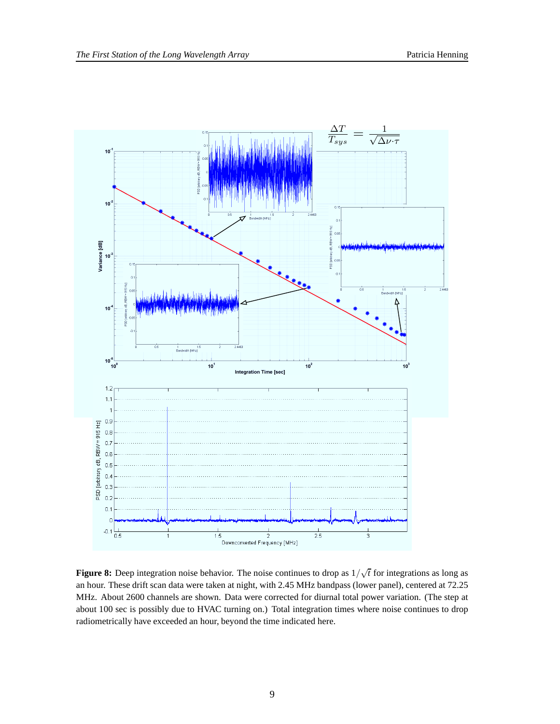

**Figure 8:** Deep integration noise behavior. The noise continues to drop as  $1/\sqrt{t}$  for integrations as long as an hour. These drift scan data were taken at night, with 2.45 MHz bandpass (lower panel), centered at 72.25 MHz. About 2600 channels are shown. Data were corrected for diurnal total power variation. (The step at about 100 sec is possibly due to HVAC turning on.) Total integration times where noise continues to drop radiometrically have exceeded an hour, beyond the time indicated here.